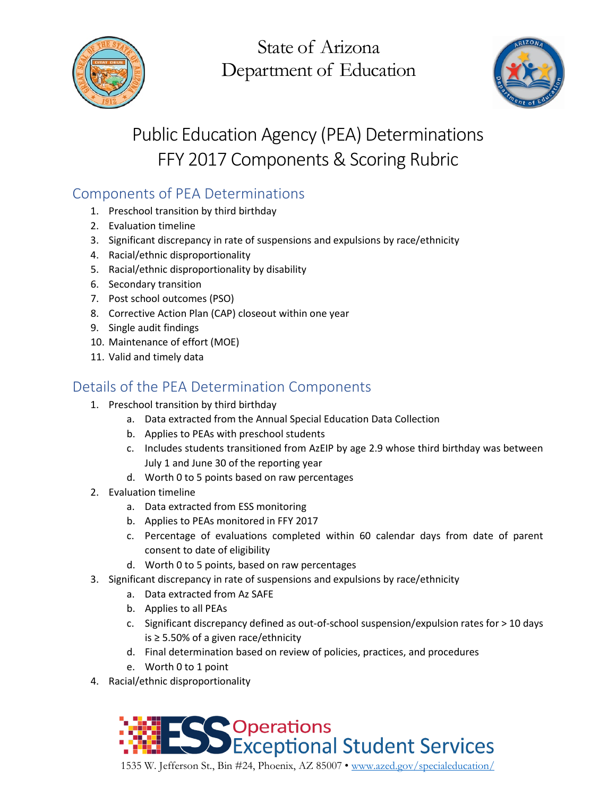

State of Arizona Department of Education



# Public Education Agency (PEA) Determinations FFY 2017 Components & Scoring Rubric

# Components of PEA Determinations

- 1. Preschool transition by third birthday
- 2. Evaluation timeline
- 3. Significant discrepancy in rate of suspensions and expulsions by race/ethnicity
- 4. Racial/ethnic disproportionality
- 5. Racial/ethnic disproportionality by disability
- 6. Secondary transition
- 7. Post school outcomes (PSO)
- 8. Corrective Action Plan (CAP) closeout within one year
- 9. Single audit findings
- 10. Maintenance of effort (MOE)
- 11. Valid and timely data

### Details of the PEA Determination Components

- 1. Preschool transition by third birthday
	- a. Data extracted from the Annual Special Education Data Collection
	- b. Applies to PEAs with preschool students
	- c. Includes students transitioned from AzEIP by age 2.9 whose third birthday was between July 1 and June 30 of the reporting year
	- d. Worth 0 to 5 points based on raw percentages
- 2. Evaluation timeline
	- a. Data extracted from ESS monitoring
	- b. Applies to PEAs monitored in FFY 2017
	- c. Percentage of evaluations completed within 60 calendar days from date of parent consent to date of eligibility
	- d. Worth 0 to 5 points, based on raw percentages
- 3. Significant discrepancy in rate of suspensions and expulsions by race/ethnicity
	- a. Data extracted from Az SAFE
	- b. Applies to all PEAs
	- c. Significant discrepancy defined as out-of-school suspension/expulsion rates for > 10 days is ≥ 5.50% of a given race/ethnicity
	- d. Final determination based on review of policies, practices, and procedures
	- e. Worth 0 to 1 point
- 4. Racial/ethnic disproportionality



1535 W. Jefferson St., Bin #24, Phoenix, AZ 85007 • [www.azed.gov/specialeducation/](http://www.azed.gov/specialeducation/)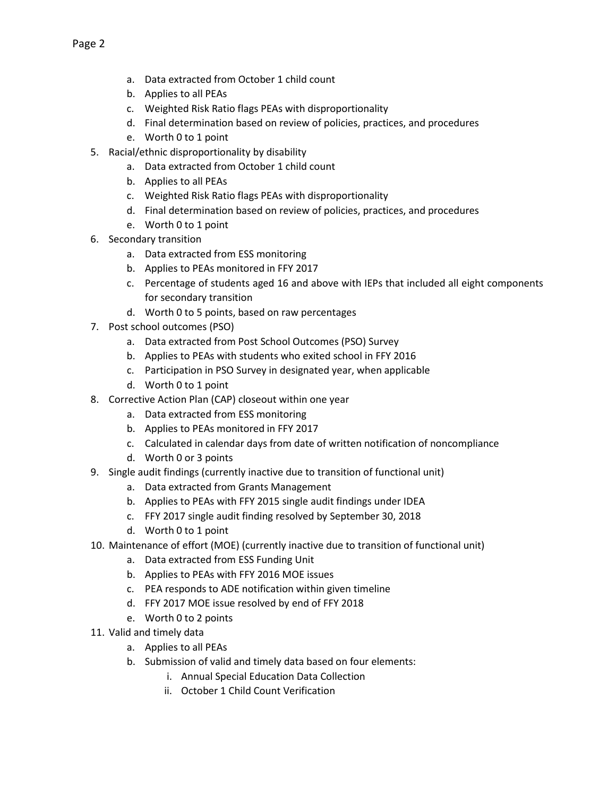- a. Data extracted from October 1 child count
- b. Applies to all PEAs
- c. Weighted Risk Ratio flags PEAs with disproportionality
- d. Final determination based on review of policies, practices, and procedures
- e. Worth 0 to 1 point
- 5. Racial/ethnic disproportionality by disability
	- a. Data extracted from October 1 child count
	- b. Applies to all PEAs
	- c. Weighted Risk Ratio flags PEAs with disproportionality
	- d. Final determination based on review of policies, practices, and procedures
	- e. Worth 0 to 1 point
- 6. Secondary transition
	- a. Data extracted from ESS monitoring
	- b. Applies to PEAs monitored in FFY 2017
	- c. Percentage of students aged 16 and above with IEPs that included all eight components for secondary transition
	- d. Worth 0 to 5 points, based on raw percentages
- 7. Post school outcomes (PSO)
	- a. Data extracted from Post School Outcomes (PSO) Survey
	- b. Applies to PEAs with students who exited school in FFY 2016
	- c. Participation in PSO Survey in designated year, when applicable
	- d. Worth 0 to 1 point
- 8. Corrective Action Plan (CAP) closeout within one year
	- a. Data extracted from ESS monitoring
	- b. Applies to PEAs monitored in FFY 2017
	- c. Calculated in calendar days from date of written notification of noncompliance
	- d. Worth 0 or 3 points
- 9. Single audit findings (currently inactive due to transition of functional unit)
	- a. Data extracted from Grants Management
	- b. Applies to PEAs with FFY 2015 single audit findings under IDEA
	- c. FFY 2017 single audit finding resolved by September 30, 2018
	- d. Worth 0 to 1 point
- 10. Maintenance of effort (MOE) (currently inactive due to transition of functional unit)
	- a. Data extracted from ESS Funding Unit
	- b. Applies to PEAs with FFY 2016 MOE issues
	- c. PEA responds to ADE notification within given timeline
	- d. FFY 2017 MOE issue resolved by end of FFY 2018
	- e. Worth 0 to 2 points
- 11. Valid and timely data
	- a. Applies to all PEAs
	- b. Submission of valid and timely data based on four elements:
		- i. Annual Special Education Data Collection
		- ii. October 1 Child Count Verification